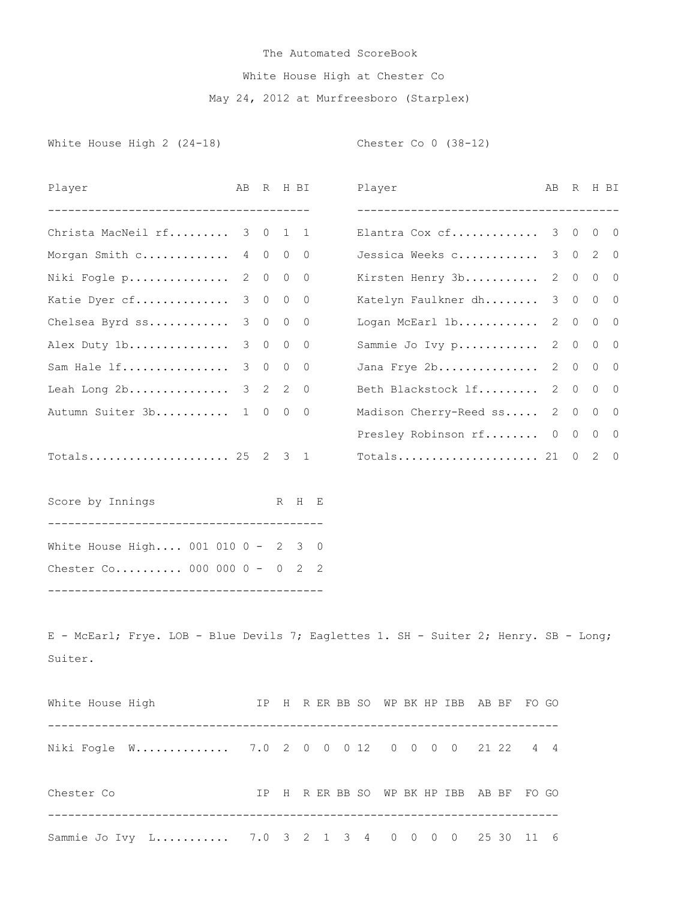## The Automated ScoreBook White House High at Chester Co May 24, 2012 at Murfreesboro (Starplex)

White House High 2 (24-18) Chester Co 0 (38-12)

| Player                                                                                          | AB | R           |         | H BI           |  | Player |  |  |                                                              | AВ           | R           |                | H BI           |
|-------------------------------------------------------------------------------------------------|----|-------------|---------|----------------|--|--------|--|--|--------------------------------------------------------------|--------------|-------------|----------------|----------------|
| -------------------------------------<br>Christa MacNeil rf 3 0                                 |    |             | 1       | $\mathbf{1}$   |  |        |  |  | --------------------------------------<br>Elantra Cox cf 3 0 |              |             | $\circ$        | $\overline{0}$ |
| Morgan Smith c 4 0                                                                              |    |             | $\circ$ | 0              |  |        |  |  | Jessica Weeks c                                              |              |             | 3 0 2 0        |                |
| Niki Fogle p 2 0                                                                                |    |             | $\circ$ | $\circ$        |  |        |  |  | Kirsten Henry 3b                                             |              |             | 2 0 0 0        |                |
| Katie Dyer cf 3 0                                                                               |    |             | $\circ$ | $\overline{0}$ |  |        |  |  | Katelyn Faulkner dh                                          |              | $3 \quad 0$ |                | $0\quad 0$     |
| Chelsea Byrd ss 3 0                                                                             |    |             | $\circ$ | $\overline{0}$ |  |        |  |  | Logan McEarl 1b                                              |              | 2 0         | $\overline{0}$ | 0              |
| Alex Duty 1b                                                                                    |    | $3 \quad 0$ | $\circ$ | 0              |  |        |  |  | Sammie Jo Ivy p                                              | 2            | $\circ$     | $\circ$        | $\circ$        |
| Sam Hale lf                                                                                     |    | $3 \quad 0$ | $\circ$ | $\overline{0}$ |  |        |  |  | Jana Frye 2b                                                 |              |             | 2 0 0 0        |                |
| Leah Long 2b                                                                                    |    | $3 \quad 2$ | 2       | $\overline{0}$ |  |        |  |  | Beth Blackstock If                                           | $\mathbf{2}$ | $\circ$     | $\circ$        | 0              |
| Autumn Suiter 3b                                                                                |    | 1 0         | $\circ$ | 0              |  |        |  |  | Madison Cherry-Reed ss                                       | 2            |             | $0\quad 0$     | 0              |
|                                                                                                 |    |             |         |                |  |        |  |  | Presley Robinson rf 0 0 0 0                                  |              |             |                |                |
| Totals 25 2 3 1                                                                                 |    |             |         |                |  |        |  |  | Totals 21 0 2 0                                              |              |             |                |                |
| Score by Innings                                                                                |    |             |         | R H E          |  |        |  |  |                                                              |              |             |                |                |
| White House High 001 010 0 - 2 3 0                                                              |    |             |         |                |  |        |  |  |                                                              |              |             |                |                |
| Chester Co 000 000 0 - 0 2 2                                                                    |    |             |         |                |  |        |  |  |                                                              |              |             |                |                |
| E - McEarl; Frye. LOB - Blue Devils 7; Eaglettes 1. SH - Suiter 2; Henry. SB - Long;<br>Suiter. |    |             |         |                |  |        |  |  |                                                              |              |             |                |                |
| White House High TP H R ER BB SO WP BK HP IBB AB BF FO GO                                       |    |             |         |                |  |        |  |  |                                                              |              |             |                |                |
| Niki Fogle W 7.0 2 0 0 0 12 0 0 0 0 21 22 4 4                                                   |    |             |         |                |  |        |  |  |                                                              |              |             |                |                |
| Chester Co                                                                                      |    |             |         |                |  |        |  |  | IP H R ER BB SO WP BK HP IBB AB BF FO GO                     |              |             |                |                |
| Sammie Jo Ivy L 7.0 3 2 1 3 4 0 0 0 0 25 30 11 6                                                |    |             |         |                |  |        |  |  |                                                              |              |             |                |                |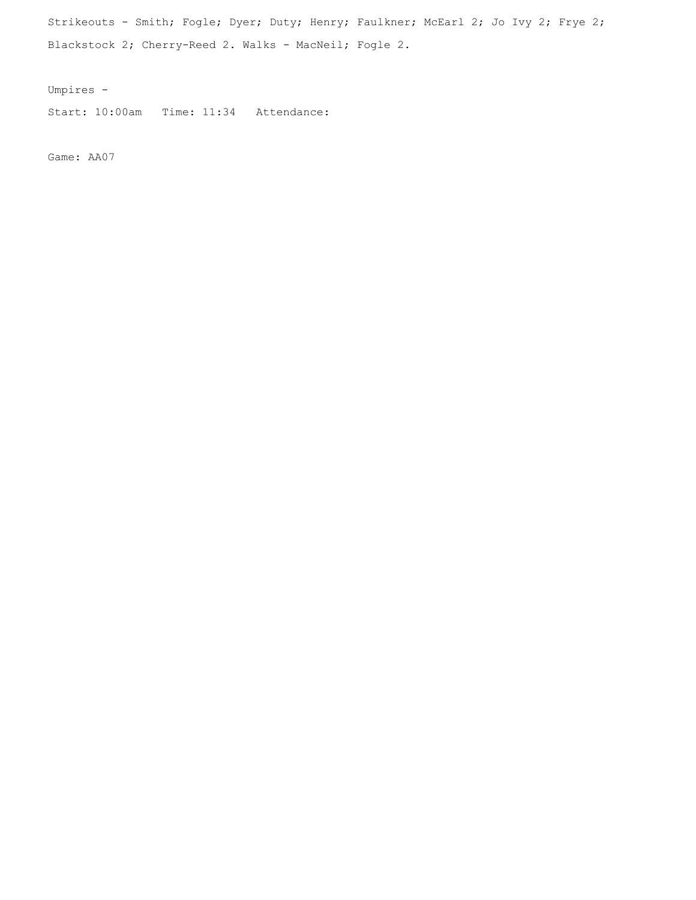Strikeouts - Smith; Fogle; Dyer; Duty; Henry; Faulkner; McEarl 2; Jo Ivy 2; Frye 2; Blackstock 2; Cherry-Reed 2. Walks - MacNeil; Fogle 2.

Umpires -

Start: 10:00am Time: 11:34 Attendance:

Game: AA07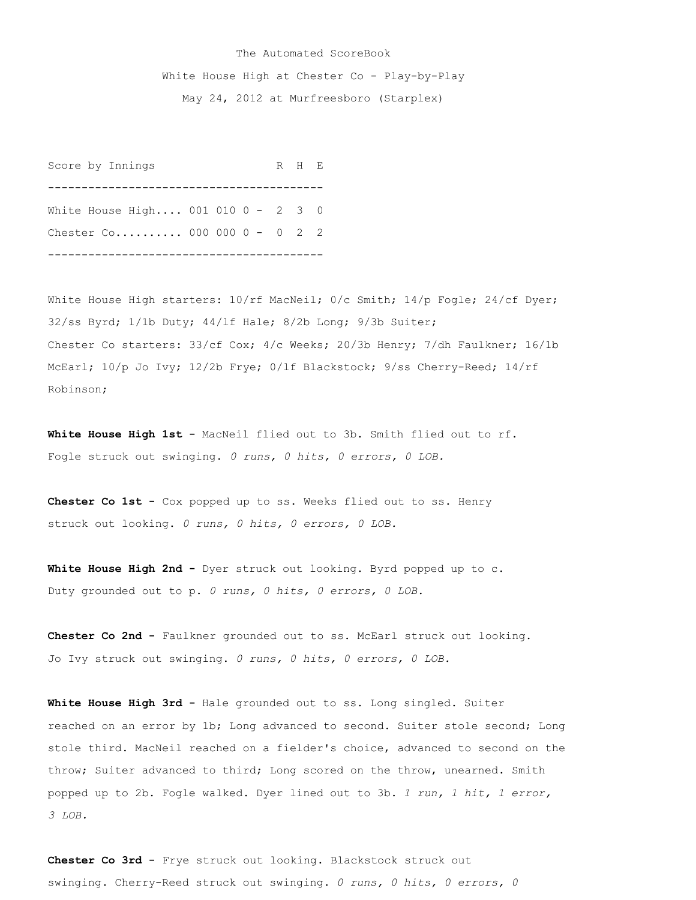## The Automated ScoreBook White House High at Chester Co - Play-by-Play May 24, 2012 at Murfreesboro (Starplex)

Score by Innings R H E ----------------------------------------- White House High.... 001 010 0 - 2 3 0 Chester Co.......... 000 000 0 - 0 2 2 -----------------------------------------

White House High starters:  $10/rf$  MacNeil; 0/c Smith; 14/p Fogle; 24/cf Dyer; 32/ss Byrd; 1/1b Duty; 44/lf Hale; 8/2b Long; 9/3b Suiter; Chester Co starters: 33/cf Cox; 4/c Weeks; 20/3b Henry; 7/dh Faulkner; 16/1b McEarl; 10/p Jo Ivy; 12/2b Frye; 0/lf Blackstock; 9/ss Cherry-Reed; 14/rf Robinson;

**White House High 1st -** MacNeil flied out to 3b. Smith flied out to rf. Fogle struck out swinging. *0 runs, 0 hits, 0 errors, 0 LOB.*

**Chester Co 1st -** Cox popped up to ss. Weeks flied out to ss. Henry struck out looking. *0 runs, 0 hits, 0 errors, 0 LOB.*

**White House High 2nd -** Dyer struck out looking. Byrd popped up to c. Duty grounded out to p. *0 runs, 0 hits, 0 errors, 0 LOB.*

**Chester Co 2nd -** Faulkner grounded out to ss. McEarl struck out looking. Jo Ivy struck out swinging. *0 runs, 0 hits, 0 errors, 0 LOB.*

**White House High 3rd -** Hale grounded out to ss. Long singled. Suiter reached on an error by 1b; Long advanced to second. Suiter stole second; Long stole third. MacNeil reached on a fielder's choice, advanced to second on the throw; Suiter advanced to third; Long scored on the throw, unearned. Smith popped up to 2b. Fogle walked. Dyer lined out to 3b. *1 run, 1 hit, 1 error, 3 LOB.*

**Chester Co 3rd -** Frye struck out looking. Blackstock struck out swinging. Cherry-Reed struck out swinging. *0 runs, 0 hits, 0 errors, 0*